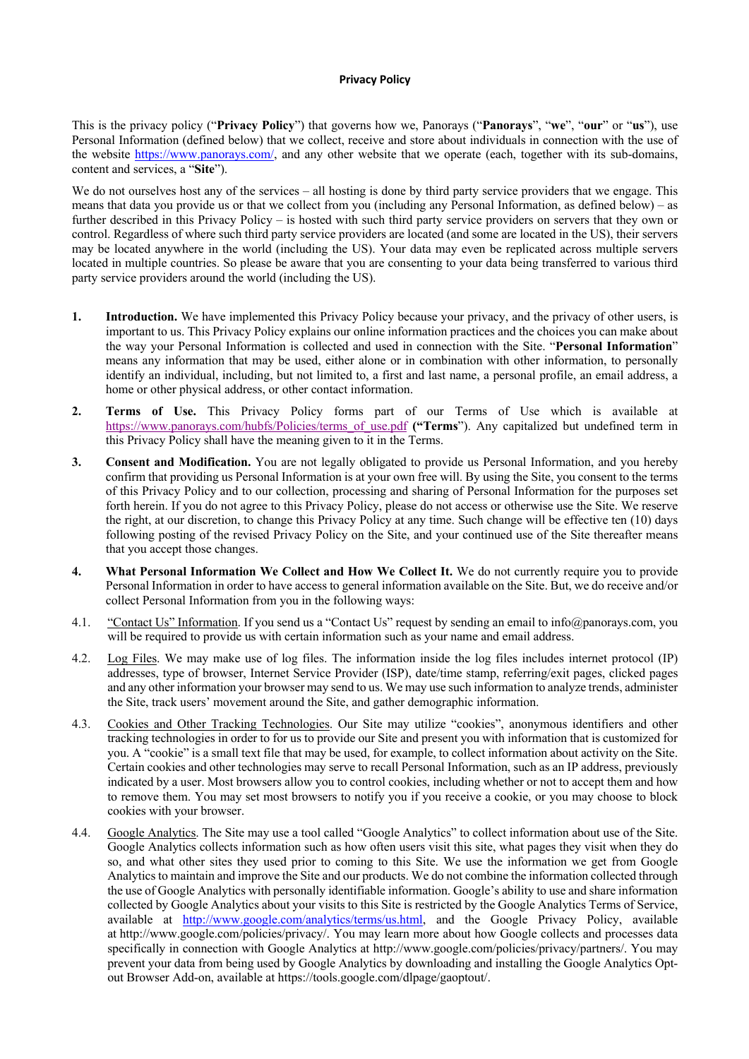## **Privacy Policy**

This is the privacy policy ("**Privacy Policy**") that governs how we, Panorays ("**Panorays**", "**we**", "**our**" or "**us**"), use Personal Information (defined below) that we collect, receive and store about individuals in connection with the use of the website https://www.panorays.com/, and any other website that we operate (each, together with its sub-domains, content and services, a "**Site**").

We do not ourselves host any of the services – all hosting is done by third party service providers that we engage. This means that data you provide us or that we collect from you (including any Personal Information, as defined below) – as further described in this Privacy Policy – is hosted with such third party service providers on servers that they own or control. Regardless of where such third party service providers are located (and some are located in the US), their servers may be located anywhere in the world (including the US). Your data may even be replicated across multiple servers located in multiple countries. So please be aware that you are consenting to your data being transferred to various third party service providers around the world (including the US).

- **1. Introduction.** We have implemented this Privacy Policy because your privacy, and the privacy of other users, is important to us. This Privacy Policy explains our online information practices and the choices you can make about the way your Personal Information is collected and used in connection with the Site. "**Personal Information**" means any information that may be used, either alone or in combination with other information, to personally identify an individual, including, but not limited to, a first and last name, a personal profile, an email address, a home or other physical address, or other contact information.
- **2. Terms of Use.** This Privacy Policy forms part of our Terms of Use which is available at https://www.panorays.com/hubfs/Policies/terms\_of\_use.pdf **("Terms**"). Any capitalized but undefined term in this Privacy Policy shall have the meaning given to it in the Terms.
- **3. Consent and Modification.** You are not legally obligated to provide us Personal Information, and you hereby confirm that providing us Personal Information is at your own free will. By using the Site, you consent to the terms of this Privacy Policy and to our collection, processing and sharing of Personal Information for the purposes set forth herein. If you do not agree to this Privacy Policy, please do not access or otherwise use the Site. We reserve the right, at our discretion, to change this Privacy Policy at any time. Such change will be effective ten (10) days following posting of the revised Privacy Policy on the Site, and your continued use of the Site thereafter means that you accept those changes.
- **4. What Personal Information We Collect and How We Collect It.** We do not currently require you to provide Personal Information in order to have access to general information available on the Site. But, we do receive and/or collect Personal Information from you in the following ways:
- 4.1. "Contact Us" Information. If you send us a "Contact Us" request by sending an email to info@panorays.com, you will be required to provide us with certain information such as your name and email address.
- 4.2. Log Files. We may make use of log files. The information inside the log files includes internet protocol (IP) addresses, type of browser, Internet Service Provider (ISP), date/time stamp, referring/exit pages, clicked pages and any other information your browser may send to us. We may use such information to analyze trends, administer the Site, track users' movement around the Site, and gather demographic information.
- 4.3. Cookies and Other Tracking Technologies. Our Site may utilize "cookies", anonymous identifiers and other tracking technologies in order to for us to provide our Site and present you with information that is customized for you. A "cookie" is a small text file that may be used, for example, to collect information about activity on the Site. Certain cookies and other technologies may serve to recall Personal Information, such as an IP address, previously indicated by a user. Most browsers allow you to control cookies, including whether or not to accept them and how to remove them. You may set most browsers to notify you if you receive a cookie, or you may choose to block cookies with your browser.
- 4.4. Google Analytics. The Site may use a tool called "Google Analytics" to collect information about use of the Site. Google Analytics collects information such as how often users visit this site, what pages they visit when they do so, and what other sites they used prior to coming to this Site. We use the information we get from Google Analytics to maintain and improve the Site and our products. We do not combine the information collected through the use of Google Analytics with personally identifiable information. Google's ability to use and share information collected by Google Analytics about your visits to this Site is restricted by the Google Analytics Terms of Service, available at http://www.google.com/analytics/terms/us.html, and the Google Privacy Policy, available at http://www.google.com/policies/privacy/. You may learn more about how Google collects and processes data specifically in connection with Google Analytics at http://www.google.com/policies/privacy/partners/. You may prevent your data from being used by Google Analytics by downloading and installing the Google Analytics Optout Browser Add-on, available at https://tools.google.com/dlpage/gaoptout/.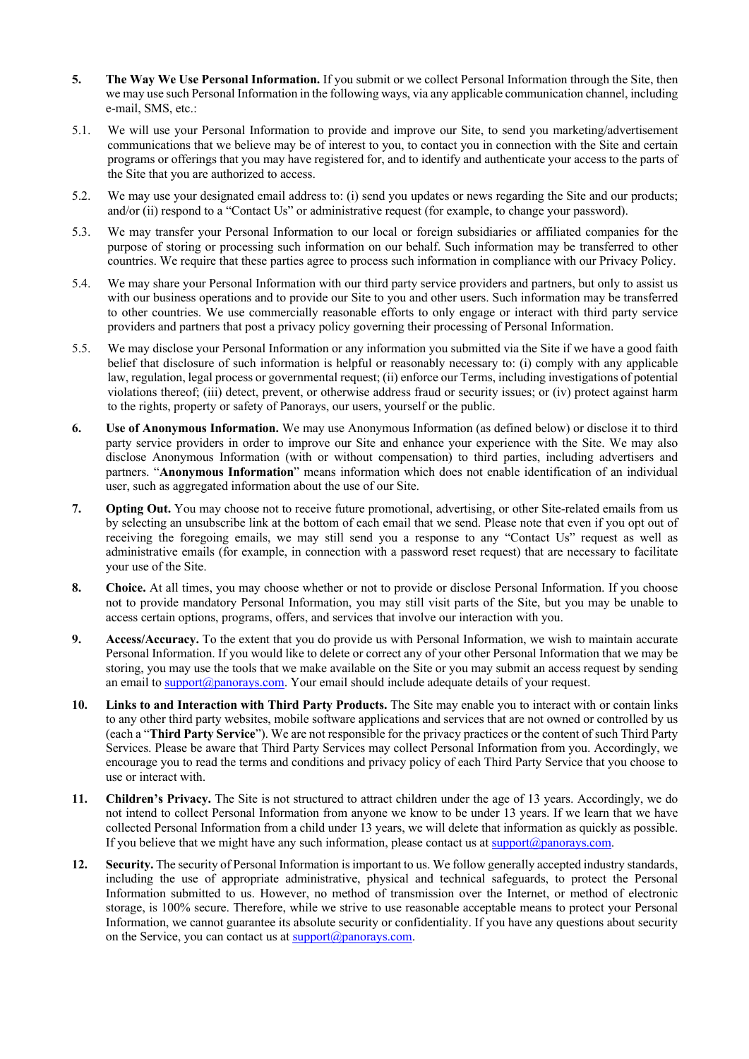- **5. The Way We Use Personal Information.** If you submit or we collect Personal Information through the Site, then we may use such Personal Information in the following ways, via any applicable communication channel, including e-mail, SMS, etc.:
- 5.1. We will use your Personal Information to provide and improve our Site, to send you marketing/advertisement communications that we believe may be of interest to you, to contact you in connection with the Site and certain programs or offerings that you may have registered for, and to identify and authenticate your access to the parts of the Site that you are authorized to access.
- 5.2. We may use your designated email address to: (i) send you updates or news regarding the Site and our products; and/or (ii) respond to a "Contact Us" or administrative request (for example, to change your password).
- 5.3. We may transfer your Personal Information to our local or foreign subsidiaries or affiliated companies for the purpose of storing or processing such information on our behalf. Such information may be transferred to other countries. We require that these parties agree to process such information in compliance with our Privacy Policy.
- 5.4. We may share your Personal Information with our third party service providers and partners, but only to assist us with our business operations and to provide our Site to you and other users. Such information may be transferred to other countries. We use commercially reasonable efforts to only engage or interact with third party service providers and partners that post a privacy policy governing their processing of Personal Information.
- 5.5. We may disclose your Personal Information or any information you submitted via the Site if we have a good faith belief that disclosure of such information is helpful or reasonably necessary to: (i) comply with any applicable law, regulation, legal process or governmental request; (ii) enforce our Terms, including investigations of potential violations thereof; (iii) detect, prevent, or otherwise address fraud or security issues; or (iv) protect against harm to the rights, property or safety of Panorays, our users, yourself or the public.
- **6. Use of Anonymous Information.** We may use Anonymous Information (as defined below) or disclose it to third party service providers in order to improve our Site and enhance your experience with the Site. We may also disclose Anonymous Information (with or without compensation) to third parties, including advertisers and partners. "**Anonymous Information**" means information which does not enable identification of an individual user, such as aggregated information about the use of our Site.
- **7. Opting Out.** You may choose not to receive future promotional, advertising, or other Site-related emails from us by selecting an unsubscribe link at the bottom of each email that we send. Please note that even if you opt out of receiving the foregoing emails, we may still send you a response to any "Contact Us" request as well as administrative emails (for example, in connection with a password reset request) that are necessary to facilitate your use of the Site.
- **8. Choice.** At all times, you may choose whether or not to provide or disclose Personal Information. If you choose not to provide mandatory Personal Information, you may still visit parts of the Site, but you may be unable to access certain options, programs, offers, and services that involve our interaction with you.
- **9. Access/Accuracy.** To the extent that you do provide us with Personal Information, we wish to maintain accurate Personal Information. If you would like to delete or correct any of your other Personal Information that we may be storing, you may use the tools that we make available on the Site or you may submit an access request by sending an email to  $\frac{\text{support}(a) \text{panorays.com}}{\text{Your email should include adequate details of your request.}}$
- **10. Links to and Interaction with Third Party Products.** The Site may enable you to interact with or contain links to any other third party websites, mobile software applications and services that are not owned or controlled by us (each a "**Third Party Service**"). We are not responsible for the privacy practices or the content of such Third Party Services. Please be aware that Third Party Services may collect Personal Information from you. Accordingly, we encourage you to read the terms and conditions and privacy policy of each Third Party Service that you choose to use or interact with.
- **11. Children's Privacy.** The Site is not structured to attract children under the age of 13 years. Accordingly, we do not intend to collect Personal Information from anyone we know to be under 13 years. If we learn that we have collected Personal Information from a child under 13 years, we will delete that information as quickly as possible. If you believe that we might have any such information, please contact us at support@panorays.com.
- **12. Security.** The security of Personal Information is important to us. We follow generally accepted industry standards, including the use of appropriate administrative, physical and technical safeguards, to protect the Personal Information submitted to us. However, no method of transmission over the Internet, or method of electronic storage, is 100% secure. Therefore, while we strive to use reasonable acceptable means to protect your Personal Information, we cannot guarantee its absolute security or confidentiality. If you have any questions about security on the Service, you can contact us at  $\frac{\text{support}(a) \text{panorays.com}}{\text{support}(a)}$ .